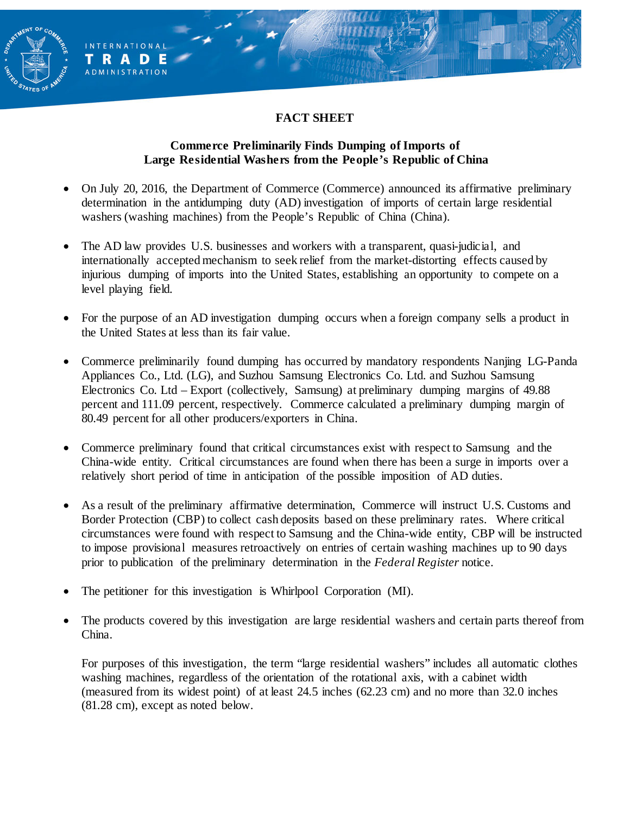### **FACT SHEET**

**AENT OF** 

**INTERNATIONAL** TRADE **ADMINISTRATION** 

#### **Commerce Preliminarily Finds Dumping of Imports of Large Residential Washers from the People's Republic of China**

- On July 20, 2016, the Department of Commerce (Commerce) announced its affirmative preliminary determination in the antidumping duty (AD) investigation of imports of certain large residential washers (washing machines) from the People's Republic of China (China).
- The AD law provides U.S. businesses and workers with a transparent, quasi-judicial, and internationally accepted mechanism to seek relief from the market-distorting effects caused by injurious dumping of imports into the United States, establishing an opportunity to compete on a level playing field.
- For the purpose of an AD investigation dumping occurs when a foreign company sells a product in the United States at less than its fair value.
- Commerce preliminarily found dumping has occurred by mandatory respondents Nanjing LG-Panda Appliances Co., Ltd. (LG), and Suzhou Samsung Electronics Co. Ltd. and Suzhou Samsung Electronics Co. Ltd – Export (collectively, Samsung) at preliminary dumping margins of 49.88 percent and 111.09 percent, respectively. Commerce calculated a preliminary dumping margin of 80.49 percent for all other producers/exporters in China.
- Commerce preliminary found that critical circumstances exist with respect to Samsung and the China-wide entity. Critical circumstances are found when there has been a surge in imports over a relatively short period of time in anticipation of the possible imposition of AD duties.
- As a result of the preliminary affirmative determination, Commerce will instruct U.S. Customs and Border Protection (CBP) to collect cash deposits based on these preliminary rates. Where critical circumstances were found with respect to Samsung and the China-wide entity, CBP will be instructed to impose provisional measures retroactively on entries of certain washing machines up to 90 days prior to publication of the preliminary determination in the *Federal Register* notice.
- The petitioner for this investigation is Whirlpool Corporation (MI).
- The products covered by this investigation are large residential washers and certain parts thereof from China.

For purposes of this investigation, the term "large residential washers" includes all automatic clothes washing machines, regardless of the orientation of the rotational axis, with a cabinet width (measured from its widest point) of at least 24.5 inches (62.23 cm) and no more than 32.0 inches (81.28 cm), except as noted below.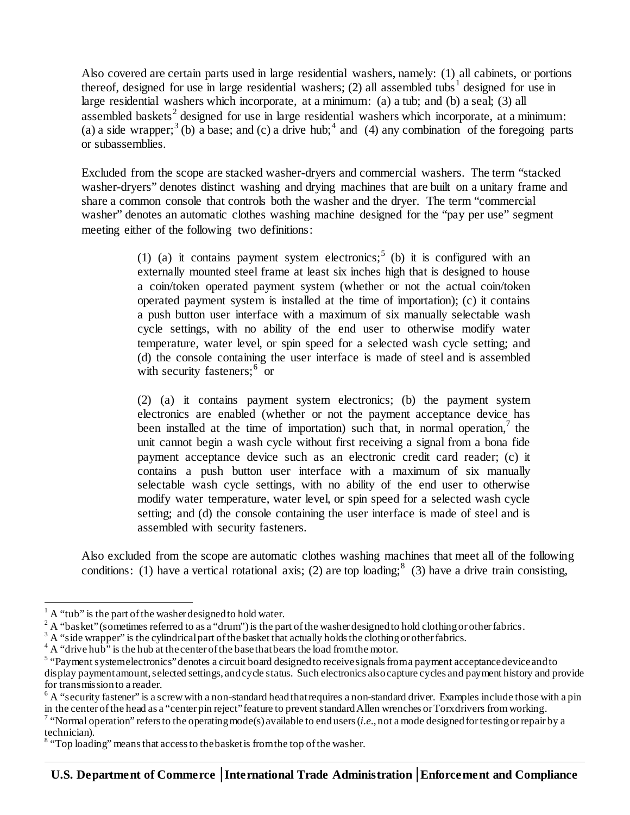Also covered are certain parts used in large residential washers, namely: (1) all cabinets, or portions thereof, designed for use in large residential washers; (2) all assembled tubs<sup>[1](#page-1-0)</sup> designed for use in large residential washers which incorporate, at a minimum: (a) a tub; and (b) a seal; (3) all assembled baskets<sup>[2](#page-1-1)</sup> designed for use in large residential washers which incorporate, at a minimum: (a) a side wrapper;<sup>[3](#page-1-2)</sup> (b) a base; and (c) a drive hub;<sup>[4](#page-1-3)</sup> and (4) any combination of the foregoing parts or subassemblies.

Excluded from the scope are stacked washer-dryers and commercial washers. The term "stacked washer-dryers" denotes distinct washing and drying machines that are built on a unitary frame and share a common console that controls both the washer and the dryer. The term "commercial washer" denotes an automatic clothes washing machine designed for the "pay per use" segment meeting either of the following two definitions:

> (1) (a) it contains payment system electronics;<sup>[5](#page-1-4)</sup> (b) it is configured with an externally mounted steel frame at least six inches high that is designed to house a coin/token operated payment system (whether or not the actual coin/token operated payment system is installed at the time of importation); (c) it contains a push button user interface with a maximum of six manually selectable wash cycle settings, with no ability of the end user to otherwise modify water temperature, water level, or spin speed for a selected wash cycle setting; and (d) the console containing the user interface is made of steel and is assembled with security fasteners;<sup>[6](#page-1-5)</sup> or

> (2) (a) it contains payment system electronics; (b) the payment system electronics are enabled (whether or not the payment acceptance device has been installed at the time of importation) such that, in normal operation,  $\hbar$  the unit cannot begin a wash cycle without first receiving a signal from a bona fide payment acceptance device such as an electronic credit card reader; (c) it contains a push button user interface with a maximum of six manually selectable wash cycle settings, with no ability of the end user to otherwise modify water temperature, water level, or spin speed for a selected wash cycle setting; and (d) the console containing the user interface is made of steel and is assembled with security fasteners.

Also excluded from the scope are automatic clothes washing machines that meet all of the following conditions: (1) have a vertical rotational axis; (2) are top loading;  $8$  (3) have a drive train consisting,

<span id="page-1-0"></span> $<sup>1</sup>$  A "tub" is the part of the washer designed to hold water.</sup>

<span id="page-1-1"></span> $2 A$  "basket" (sometimes referred to as a "drum") is the part of the washer designed to hold clothing or other fabrics.

<span id="page-1-2"></span> $3 \text{ A}$  "side wrapper" is the cylindrical part of the basket that actually holds the clothing or other fabrics.<br> $4 \text{ A}$  "drive hub" is the hub at the center of the base that bears the load from the motor.

<span id="page-1-4"></span><span id="page-1-3"></span><sup>&</sup>lt;sup>5</sup> "Payment system electronics" denotes a circuit board designed to receive signals from a payment acceptance device and to display payment amount, selected settings, and cycle status. Such electronics also capture cycles and payment history and provide for transmission to a reader.

<span id="page-1-5"></span><sup>&</sup>lt;sup>6</sup> A "security fastener" is a screw with a non-standard head that requires a non-standard driver. Examples include those with a pin in the center of the head as a "center pin reject" feature to prevent standard Allen wrenches or Torx drivers from working.

<span id="page-1-6"></span><sup>&</sup>lt;sup>7</sup> "Normal operation" refers to the operating mode(s) available to end users (*i.e.*, not a mode designed for testing or repair by a technician).

<span id="page-1-7"></span> $8$  "Top loading" means that access to the basket is from the top of the washer.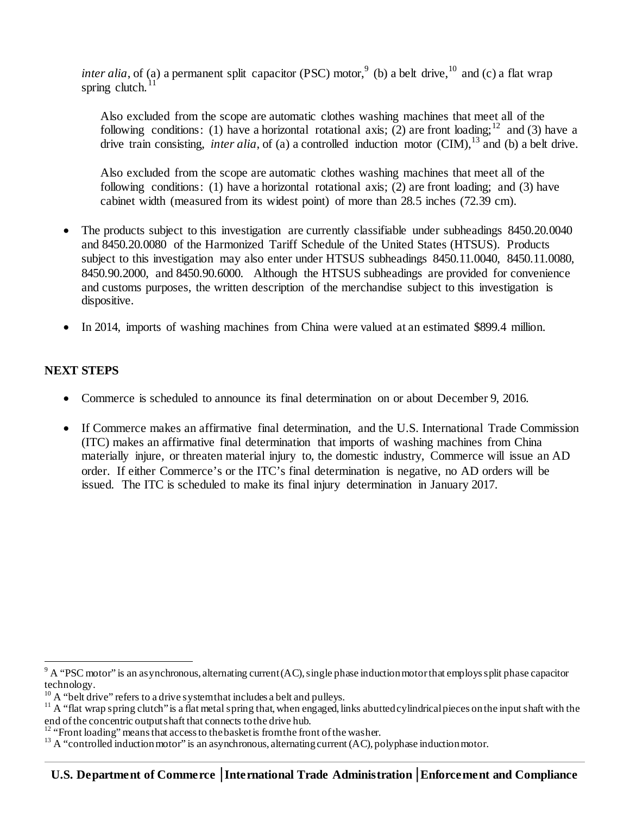*inter alia*, of (a) a permanent split capacitor (PSC) motor,<sup>[9](#page-2-0)</sup> (b) a belt drive,  $10$  and (c) a flat wrap spring clutch. $^{11}$  $^{11}$  $^{11}$ 

Also excluded from the scope are automatic clothes washing machines that meet all of the following conditions: (1) have a horizontal rotational axis; (2) are front loading;<sup>[12](#page-2-3)</sup> and (3) have a drive train consisting, *inter alia*, of (a) a controlled induction motor (CIM), <sup>[13](#page-2-4)</sup> and (b) a belt drive.

Also excluded from the scope are automatic clothes washing machines that meet all of the following conditions: (1) have a horizontal rotational axis; (2) are front loading; and (3) have cabinet width (measured from its widest point) of more than 28.5 inches (72.39 cm).

- The products subject to this investigation are currently classifiable under subheadings 8450.20.0040 and 8450.20.0080 of the Harmonized Tariff Schedule of the United States (HTSUS). Products subject to this investigation may also enter under HTSUS subheadings 8450.11.0040, 8450.11.0080, 8450.90.2000, and 8450.90.6000. Although the HTSUS subheadings are provided for convenience and customs purposes, the written description of the merchandise subject to this investigation is dispositive.
- In 2014, imports of washing machines from China were valued at an estimated \$899.4 million.

### **NEXT STEPS**

- Commerce is scheduled to announce its final determination on or about December 9, 2016.
- If Commerce makes an affirmative final determination, and the U.S. International Trade Commission (ITC) makes an affirmative final determination that imports of washing machines from China materially injure, or threaten material injury to, the domestic industry, Commerce will issue an AD order. If either Commerce's or the ITC's final determination is negative, no AD orders will be issued. The ITC is scheduled to make its final injury determination in January 2017.

<span id="page-2-0"></span> $9^9$  A "PSC motor" is an asynchronous, alternating current (AC), single phase induction motor that employs split phase capacitor technology.

<span id="page-2-2"></span><span id="page-2-1"></span><sup>&</sup>lt;sup>10</sup> A "belt drive" refers to a drive system that includes a belt and pulleys.<br><sup>11</sup> A "flat wrap spring clutch" is a flat metal spring that, when engaged, links abutted cylindrical pieces on the input shaft with the end o

<span id="page-2-4"></span><span id="page-2-3"></span><sup>&</sup>lt;sup>12</sup> "Front loading" means that access to the basket is from the front of the washer.<br><sup>13</sup> A "controlled induction motor" is an asynchronous, alternating current (AC), polyphase induction motor.